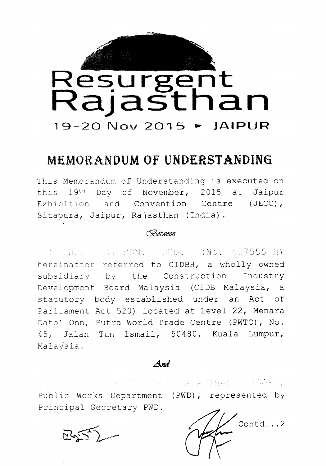

## MEMORANDUM OF UNDERSTANDING

This Memorandum of Understanding is executed on this 19th Day of November, 2015 at Jaipur Exhibition and Convention Centre (JECC), Sitapura, Jaipur, Rajasthan (India).

## Between

it: 1,: h,: Miss SDN. BHD. (No. 417555-H) hereinafter referred to CIDBH, a wholly owned subsidiary by the Construction Industry Development Board Malaysia (CIDB Malaysia, a statutory body established under an Act of Parliament Act 520) located at Level 22, Menara Dato' Onn, Putra World Trade Centre (PWTC), No. 45, Jalan Tun Ismail, 50480, Kuala Lumpur, Malaysia.

## And

START THE THE PAINT HAN THAN THE CHORD. Public Works Department (PWD), represented by Principal Secretary PWD.

 $\text{Cond...}.2$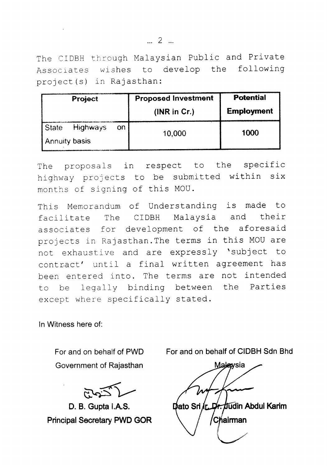The CIDBH through Malaysian Public and Private Associates wishes to develop the following project(s) in Rajasthan:

| <b>Highways</b><br>State<br>on<br>1000<br>10,000<br><b>Annuity basis</b> | Project |  | <b>Proposed Investment</b><br>(INR in Cr.) | <b>Potential</b><br><b>Employment</b> |  |
|--------------------------------------------------------------------------|---------|--|--------------------------------------------|---------------------------------------|--|
|                                                                          |         |  |                                            |                                       |  |
|                                                                          |         |  |                                            |                                       |  |

The proposals in respect to the specific highway projects to be submitted within six months of signing of this MOU.

This Memorandum of Understanding is made to facilitate The CJOBH Malaysia and their associates for development of the aforesaid projects in Rajasthan.The terms in this MOU are not exhaustive and are expressly 'subject to contract' until a final written agreement has been entered into. The terms are not intended to be legally binding between the Parties except where specifically stated.

In Witness here of:

For and on behalf of PWD Government of Rajasthan

~ *~V*

D. B. Gupta I.A.S. Principal Secretary PWD GOR

For and on behalf of CIDBH Sdn Bhd

Malaysia Dato Sri Ir. Dr. Judin Abdul Karim 'Chairman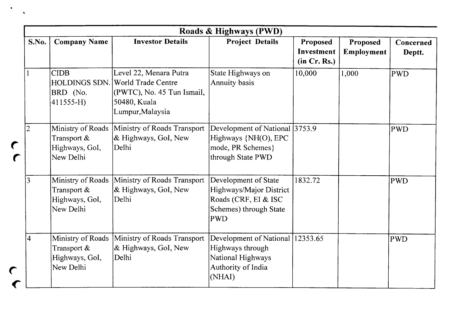| Roads & Highways (PWD) |                                                                    |                                                                                                                                     |                                                                                                                 |                                        |                        |                     |  |  |
|------------------------|--------------------------------------------------------------------|-------------------------------------------------------------------------------------------------------------------------------------|-----------------------------------------------------------------------------------------------------------------|----------------------------------------|------------------------|---------------------|--|--|
| S.No.                  | <b>Company Name</b>                                                | <b>Investor Details</b>                                                                                                             | <b>Project Details</b>                                                                                          | Proposed<br>Investment<br>(in Cr. Rs.) | Proposed<br>Employment | Concerned<br>Deptt. |  |  |
|                        | <b>CIDB</b><br>BRD (No.<br>$411555 - H$                            | Level 22, Menara Putra<br><b>HOLDINGS SDN.</b> World Trade Centre<br>(PWTC), No. 45 Tun Ismail,<br>50480, Kuala<br>Lumpur, Malaysia | State Highways on<br>Annuity basis                                                                              | 10,000                                 | 1,000                  | <b>PWD</b>          |  |  |
| $\overline{2}$         | Ministry of Roads<br>Transport &<br>Highways, GoI,<br>New Delhi    | Ministry of Roads Transport<br>& Highways, GoI, New<br>Delhi                                                                        | Development of National 3753.9<br>Highways {NH(O), EPC<br>mode, PR Schemes}<br>through State PWD                |                                        |                        | <b>PWD</b>          |  |  |
| 3                      | Ministry of Roads<br>Transport &<br>Highways, GoI,<br>New Delhi    | Ministry of Roads Transport<br>& Highways, GoI, New<br>Delhi                                                                        | Development of State<br>Highways/Major District<br>Roads (CRF, EI & ISC<br>Schemes) through State<br><b>PWD</b> | 1832.72                                |                        | PWD                 |  |  |
| $\overline{4}$         | Ministry of Roads<br>Transport $\&$<br>Highways, GoI,<br>New Delhi | Ministry of Roads Transport<br>& Highways, GoI, New<br>Delhi                                                                        | Development of National 12353.65<br>Highways through<br>National Highways<br>Authority of India<br>(NHAI)       |                                        |                        | <b>PWD</b>          |  |  |

 $\blacktriangledown$